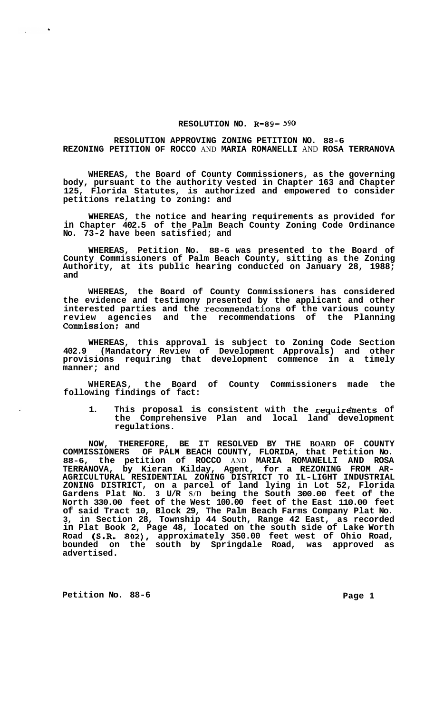## **RESOLUTION NO. R-89-** *590*

## **RESOLUTION APPROVING ZONING PETITION NO. 88-6 REZONING PETITION OF ROCCO** AND **MARIA ROMANELLI** AND **ROSA TERRANOVA**

**WHEREAS, the Board of County Commissioners, as the governing body, pursuant to the authority vested in Chapter 163 and Chapter 125, Florida Statutes, is authorized and empowered to consider petitions relating to zoning: and** 

**WHEREAS, the notice and hearing requirements as provided for in Chapter 402.5 of the Palm Beach County Zoning Code Ordinance No. 73-2 have been satisfied; and** 

**WHEREAS, Petition No. 88-6 was presented to the Board of County Commissioners of Palm Beach County, sitting as the Zoning Authority, at its public hearing conducted on January 28, 1988; and** 

**WHEREAS, the Board of County Commissioners has considered the evidence and testimony presented by the applicant and other interested parties and the recommendations of the various county review agencies and the recommendations of the Planning Commission: and** 

**WHEREAS, this approval is subject to Zoning Code Section 402.9 (Mandatory Review of Development Approvals) and other provisions requiring that development commence in a timely manner; and** 

**WHEREAS, the Board of County Commissioners made the following findings of fact:** 

**1. This proposal is consistent with the requirdments of the Comprehensive Plan and local land development regulations.** 

**NOW, THEREFORE, BE IT RESOLVED BY THE BOARD OF COUNTY COMMISSIONERS OF PALM BEACH COUNTY, FLORIDA, that Petition No. 88-6, the petition of ROCCO** AND **MARIA ROMANELLI AND ROSA TERRANOVA, by Kieran Kilday, Agent, for a REZONING FROM AR-ZONING DISTRICT, on a parcel of land lying in Lot 52, Florida Gardens Plat No. 3 U/R S/D being the South 300.00 feet of the North 330.00 feet of the West 100.00 feet of the East 110.00 feet of said Tract 10, Block 29, The Palm Beach Farms Company Plat No. 3, in Section 28, Township 44 South, Range 42 East, as recorded in Plat Book 2, Page 48, located on the south side of Lake Worth Road (S.R. 802), approximately 350.00 feet west of Ohio Road, bounded on the south by Springdale Road, was approved as advertised. AGRICULTURAL RESIDENTIAL ZONING DISTRICT TO IL-LIGHT INDUSTRIAL** 

Petition No. 88-6 **Page 1 Page 1** 

 $\bullet$